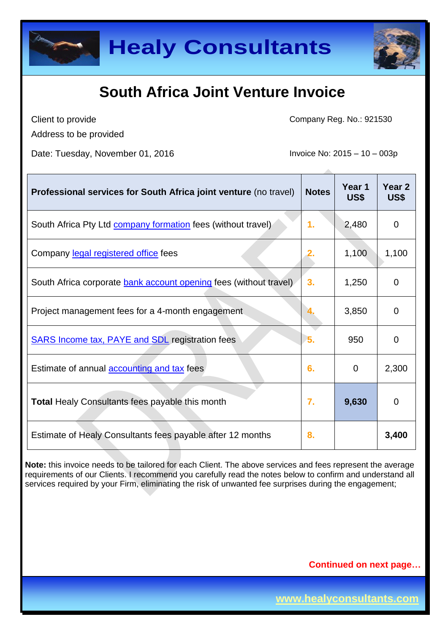



Client to provide Address to be provided Company Reg. No.: 921530

Date: Tuesday, November 01, 2016 Invoice No: 2015 – 10 – 003p

| Professional services for South Africa joint venture (no travel)    | <b>Notes</b> | Year 1<br>US\$ | Year <sub>2</sub><br>US\$ |
|---------------------------------------------------------------------|--------------|----------------|---------------------------|
| South Africa Pty Ltd <b>company formation</b> fees (without travel) | 1.           | 2,480          | 0                         |
| Company legal registered office fees                                |              | 1,100          | 1,100                     |
| South Africa corporate bank account opening fees (without travel)   | 3.           | 1,250          | $\Omega$                  |
| Project management fees for a 4-month engagement                    |              | 3,850          | $\Omega$                  |
| <b>SARS Income tax, PAYE and SDL registration fees</b>              | 5.           | 950            | $\Omega$                  |
| Estimate of annual accounting and tax fees                          | 6.           | 0              | 2,300                     |
| <b>Total Healy Consultants fees payable this month</b>              | 7.           | 9,630          | $\overline{0}$            |
| Estimate of Healy Consultants fees payable after 12 months          | 8.           |                | 3,400                     |

**Note:** this invoice needs to be tailored for each Client. The above services and fees represent the average requirements of our Clients. I recommend you carefully read the notes below to confirm and understand all services required by your Firm, eliminating the risk of unwanted fee surprises during the engagement;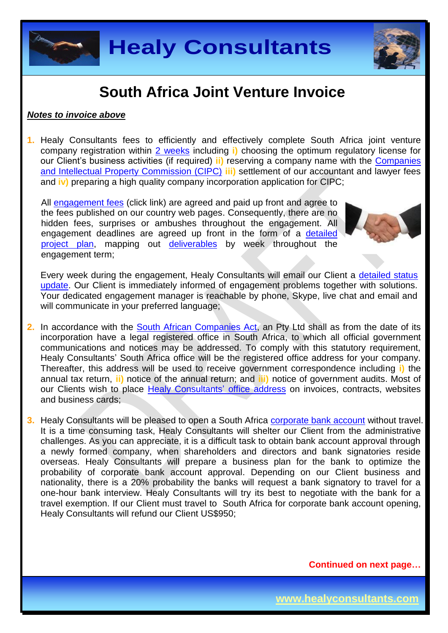



#### *Notes to invoice above*

**1.** Healy Consultants fees to efficiently and effectively complete South Africa joint venture company registration within [2 weeks](http://www.healyconsultants.com/south-africa-company-registration/fees-timelines/#timelines) including **i)** choosing the optimum regulatory license for our Client's business activities (if required) **ii)** reserving a company name with the [Companies](http://www.cipc.co.za/)  [and Intellectual Property Commission \(CIPC\)](http://www.cipc.co.za/) **iii)** settlement of our accountant and lawyer fees and **iv)** preparing a high quality company incorporation application for CIPC;

All [engagement fees](http://www.healyconsultants.com/company-registration-fees/) (click link) are agreed and paid up front and agree to the fees published on our country web pages. Consequently, there are no hidden fees, surprises or ambushes throughout the engagement. All engagement deadlines are agreed up front in the form of a [detailed](http://www.healyconsultants.com/index-important-links/example-project-plan/)  [project plan,](http://www.healyconsultants.com/index-important-links/example-project-plan/) mapping out [deliverables](http://www.healyconsultants.com/deliverables-to-our-clients/) by week throughout the engagement term;



Every week during the engagement, Healy Consultants will email our Client a [detailed status](http://www.healyconsultants.com/index-important-links/weekly-engagement-status-email/)  [update.](http://www.healyconsultants.com/index-important-links/weekly-engagement-status-email/) Our Client is immediately informed of engagement problems together with solutions. Your dedicated engagement manager is reachable by phone, Skype, live chat and email and will communicate in your preferred language;

- **2.** In accordance with the [South African Companies Act,](http://www.justice.gov.za/legislation/acts/2008-071amended.pdf) an Pty Ltd shall as from the date of its incorporation have a legal registered office in South Africa, to which all official government communications and notices may be addressed. To comply with this statutory requirement, Healy Consultants' South Africa office will be the registered office address for your company. Thereafter, this address will be used to receive government correspondence including **i)** the annual tax return, **ii)** notice of the annual return; and **iii)** notice of government audits. Most of our Clients wish to place [Healy Consultants'](http://www.healyconsultants.com/corporate-outsourcing-services/company-secretary-and-legal-registered-office/) office address on invoices, contracts, websites and business cards;
- **3.** Healy Consultants will be pleased to open a South Africa [corporate bank account](http://www.healyconsultants.com/south-africa-company-registration/formation-support-services/) without travel. It is a time consuming task, Healy Consultants will shelter our Client from the administrative challenges. As you can appreciate, it is a difficult task to obtain bank account approval through a newly formed company, when shareholders and directors and bank signatories reside overseas. Healy Consultants will prepare a business plan for the bank to optimize the probability of corporate bank account approval. Depending on our Client business and nationality, there is a 20% probability the banks will request a bank signatory to travel for a one-hour bank interview. Healy Consultants will try its best to negotiate with the bank for a travel exemption. If our Client must travel to South Africa for corporate bank account opening, Healy Consultants will refund our Client US\$950;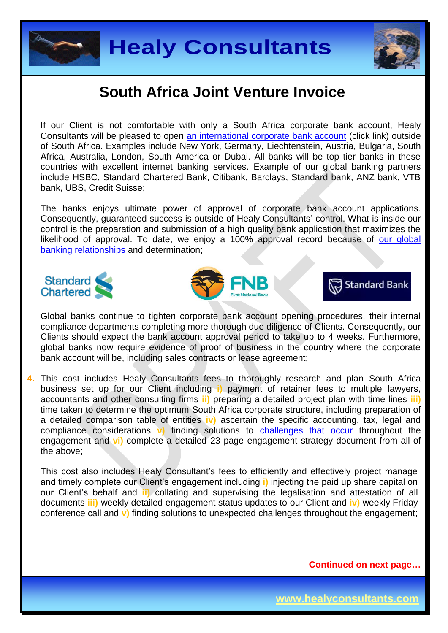



If our Client is not comfortable with only a South Africa corporate bank account, Healy Consultants will be pleased to open [an international corporate bank account](http://www.healyconsultants.com/international-banking/) (click link) outside of South Africa. Examples include New York, Germany, Liechtenstein, Austria, Bulgaria, South Africa, Australia, London, South America or Dubai. All banks will be top tier banks in these countries with excellent internet banking services. Example of our global banking partners include HSBC, Standard Chartered Bank, Citibank, Barclays, Standard bank, ANZ bank, VTB bank, UBS, Credit Suisse;

The banks enjoys ultimate power of approval of corporate bank account applications. Consequently, guaranteed success is outside of Healy Consultants' control. What is inside our control is the preparation and submission of a high quality bank application that maximizes the likelihood of approval. To date, we enjoy a 100% approval record because of our global [banking relationships](http://www.healyconsultants.com/international-banking/corporate-accounts/) and determination;







Global banks continue to tighten corporate bank account opening procedures, their internal compliance departments completing more thorough due diligence of Clients. Consequently, our Clients should expect the bank account approval period to take up to 4 weeks. Furthermore, global banks now require evidence of proof of business in the country where the corporate bank account will be, including sales contracts or lease agreement;

**4.** This cost includes Healy Consultants fees to thoroughly research and plan South Africa business set up for our Client including **i)** payment of retainer fees to multiple lawyers, accountants and other consulting firms **ii)** preparing a detailed project plan with time lines **iii)**  time taken to determine the optimum South Africa corporate structure, including preparation of a detailed comparison table of entities **iv)** ascertain the specific accounting, tax, legal and compliance considerations **v)** finding solutions to [challenges that occur](http://www.healyconsultants.com/engagement-project-management/) throughout the engagement and **vi)** complete a detailed 23 page engagement strategy document from all of the above;

This cost also includes Healy Consultant's fees to efficiently and effectively project manage and timely complete our Client's engagement including **i)** injecting the paid up share capital on our Client's behalf and **ii)** collating and supervising the legalisation and attestation of all documents **iii)** weekly detailed engagement status updates to our Client and **iv)** weekly Friday conference call and **v)** finding solutions to unexpected challenges throughout the engagement;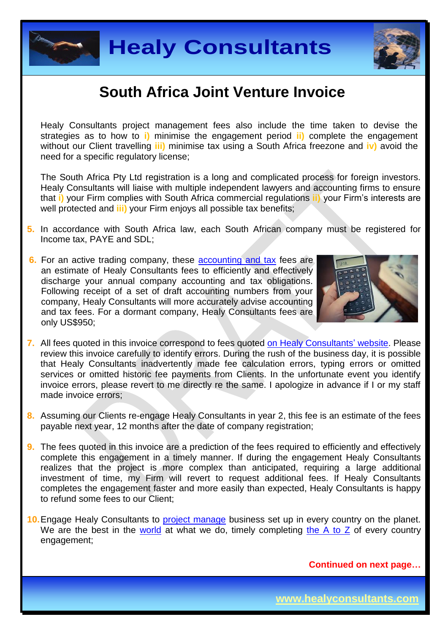



Healy Consultants project management fees also include the time taken to devise the strategies as to how to **i)** minimise the engagement period **ii)** complete the engagement without our Client travelling **iii)** minimise tax using a South Africa freezone and **iv)** avoid the need for a specific regulatory license;

The South Africa Pty Ltd registration is a long and complicated process for foreign investors. Healy Consultants will liaise with multiple independent lawyers and accounting firms to ensure that **i)** your Firm complies with South Africa commercial regulations **ii)** your Firm's interests are well protected and **iii)** your Firm enjoys all possible tax benefits;

- **5.** In accordance with South Africa law, each South African company must be registered for Income tax, PAYE and SDL;
- **6.** For an active trading company, these [accounting and tax](http://www.healyconsultants.com/south-africa-company-registration/accounting-legal/) fees are an estimate of Healy Consultants fees to efficiently and effectively discharge your annual company accounting and tax obligations. Following receipt of a set of draft accounting numbers from your company, Healy Consultants will more accurately advise accounting and tax fees. For a dormant company, Healy Consultants fees are only US\$950;



- **7.** All fees quoted in this invoice correspond to fees quoted [on Healy Consultants'](http://www.healyconsultants.com/company-registration-fees/) website. Please review this invoice carefully to identify errors. During the rush of the business day, it is possible that Healy Consultants inadvertently made fee calculation errors, typing errors or omitted services or omitted historic fee payments from Clients. In the unfortunate event you identify invoice errors, please revert to me directly re the same. I apologize in advance if I or my staff made invoice errors;
- **8.** Assuming our Clients re-engage Healy Consultants in year 2, this fee is an estimate of the fees payable next year, 12 months after the date of company registration;
- **9.** The fees quoted in this invoice are a prediction of the fees required to efficiently and effectively complete this engagement in a timely manner. If during the engagement Healy Consultants realizes that the project is more complex than anticipated, requiring a large additional investment of time, my Firm will revert to request additional fees. If Healy Consultants completes the engagement faster and more easily than expected, Healy Consultants is happy to refund some fees to our Client;
- 10. Engage Healy Consultants to **project manage** business set up in every country on the planet. We are the best in the [world](http://www.healyconsultants.com/best-in-the-world/) at what we do, timely completing [the A to Z](http://www.healyconsultants.com/a-to-z-of-business-set-up/) of every country engagement;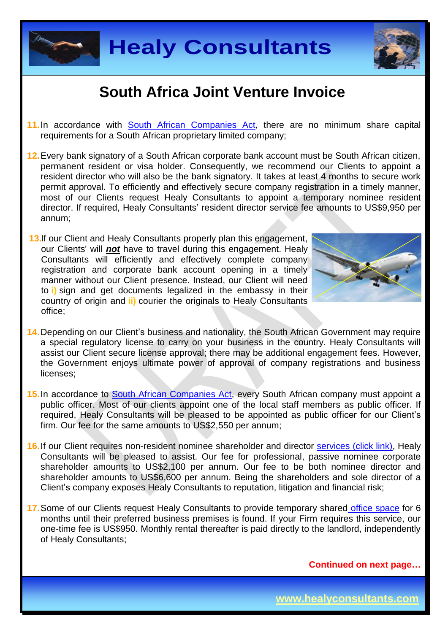



- 11. In accordance with [South African Companies Act,](http://www.justice.gov.za/legislation/acts/2008-071amended.pdf) there are no minimum share capital requirements for a South African proprietary limited company;
- **12.**Every bank signatory of a South African corporate bank account must be South African citizen, permanent resident or visa holder. Consequently, we recommend our Clients to appoint a resident director who will also be the bank signatory. It takes at least 4 months to secure work permit approval. To efficiently and effectively secure company registration in a timely manner, most of our Clients request Healy Consultants to appoint a temporary nominee resident director. If required, Healy Consultants' resident director service fee amounts to US\$9,950 per annum;
- **13.**If our Client and Healy Consultants properly plan this engagement, our Clients' will *not* have to travel during this engagement. Healy Consultants will efficiently and effectively complete company registration and corporate bank account opening in a timely manner without our Client presence. Instead, our Client will need to **i)** sign and get documents legalized in the embassy in their country of origin and **ii)** courier the originals to Healy Consultants office;



- **14.**Depending on our Client's business and nationality, the South African Government may require a special regulatory license to carry on your business in the country. Healy Consultants will assist our Client secure license approval; there may be additional engagement fees. However, the Government enjoys ultimate power of approval of company registrations and business licenses;
- **15.**In accordance to [South African Companies Act,](http://www.justice.gov.za/legislation/acts/2008-071amended.pdf) every South African company must appoint a public officer. Most of our clients appoint one of the local staff members as public officer. If required, Healy Consultants will be pleased to be appointed as public officer for our Client's firm. Our fee for the same amounts to US\$2,550 per annum;
- **16.**If our Client requires non-resident nominee shareholder and director services [\(click link\),](http://www.healyconsultants.com/corporate-outsourcing-services/nominee-shareholders-directors/) Healy Consultants will be pleased to assist. Our fee for professional, passive nominee corporate shareholder amounts to US\$2,100 per annum. Our fee to be both nominee director and shareholder amounts to US\$6,600 per annum. Being the shareholders and sole director of a Client's company exposes Healy Consultants to reputation, litigation and financial risk;
- **17.**Some of our Clients request Healy Consultants to provide temporary shared [office space](http://www.healyconsultants.com/virtual-office/) for 6 months until their preferred business premises is found. If your Firm requires this service, our one-time fee is US\$950. Monthly rental thereafter is paid directly to the landlord, independently of Healy Consultants;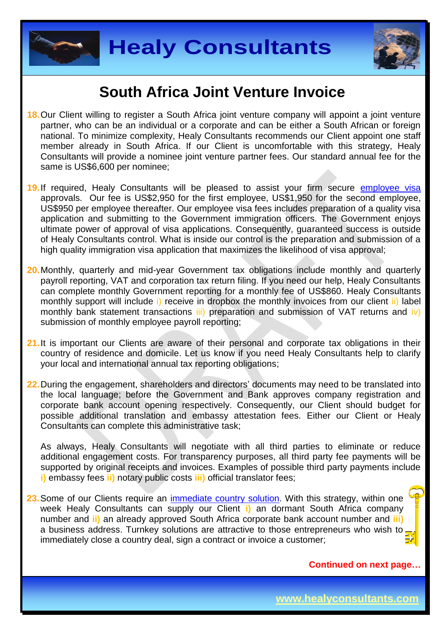



- **18.**Our Client willing to register a South Africa joint venture company will appoint a joint venture partner, who can be an individual or a corporate and can be either a South African or foreign national. To minimize complexity, Healy Consultants recommends our Client appoint one staff member already in South Africa. If our Client is uncomfortable with this strategy, Healy Consultants will provide a nominee joint venture partner fees. Our standard annual fee for the same is US\$6,600 per nominee;
- **19.**If required, Healy Consultants will be pleased to assist your firm secure [employee visa](http://www.healyconsultants.com/south-africa-company-registration/employment-visas/) approvals. Our fee is US\$2,950 for the first employee, US\$1,950 for the second employee, US\$950 per employee thereafter. Our employee visa fees includes preparation of a quality visa application and submitting to the Government immigration officers. The Government enjoys ultimate power of approval of visa applications. Consequently, guaranteed success is outside of Healy Consultants control. What is inside our control is the preparation and submission of a high quality immigration visa application that maximizes the likelihood of visa approval;
- **20.**Monthly, quarterly and mid-year Government tax obligations include monthly and quarterly payroll reporting, VAT and corporation tax return filing. If you need our help, Healy Consultants can complete monthly Government reporting for a monthly fee of US\$860. Healy Consultants monthly support will include i) receive in dropbox the monthly invoices from our client ii) label monthly bank statement transactions iii) preparation and submission of VAT returns and iv) submission of monthly employee payroll reporting;
- 21. It is important our Clients are aware of their personal and corporate tax obligations in their country of residence and domicile. Let us know if you need Healy Consultants help to clarify your local and international annual tax reporting obligations;
- **22.**During the engagement, shareholders and directors' documents may need to be translated into the local language; before the Government and Bank approves company registration and corporate bank account opening respectively. Consequently, our Client should budget for possible additional translation and embassy attestation fees. Either our Client or Healy Consultants can complete this administrative task;

As always, Healy Consultants will negotiate with all third parties to eliminate or reduce additional engagement costs. For transparency purposes, all third party fee payments will be supported by original receipts and invoices. Examples of possible third party payments include **i)** embassy fees **ii)** notary public costs **iii)** official translator fees;

**23.**Some of our Clients require an [immediate country](http://www.healyconsultants.com/turnkey-solutions/) solution. With this strategy, within one week Healy Consultants can supply our Client **i)** an dormant South Africa company number and **ii)** an already approved South Africa corporate bank account number and **iii)** a business address. Turnkey solutions are attractive to those entrepreneurs who wish to immediately close a country deal, sign a contract or invoice a customer;

**Continued on next page…**

**www.healyconsultants.com**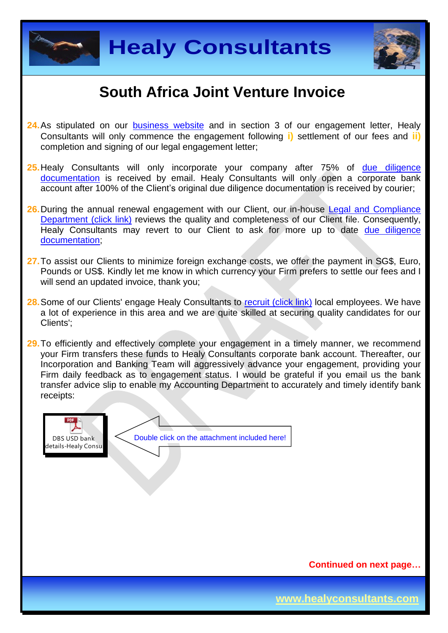



- 24. As stipulated on our [business website](http://www.healyconsultants.com/) and in section 3 of our engagement letter, Healy Consultants will only commence the engagement following **i)** settlement of our fees and **ii)** completion and signing of our legal engagement letter;
- **25.**Healy Consultants will only incorporate your company after 75% of [due diligence](http://www.healyconsultants.com/due-diligence/)  [documentation](http://www.healyconsultants.com/due-diligence/) is received by email. Healy Consultants will only open a corporate bank account after 100% of the Client's original due diligence documentation is received by courier;
- 26. During the annual renewal engagement with our Client, our in-house Legal and Compliance [Department \(click link\)](http://www.healyconsultants.com/about-us/key-personnel/cai-xin-profile/) reviews the quality and completeness of our Client file. Consequently, Healy Consultants may revert to our Client to ask for more up to date due diligence [documentation;](http://www.healyconsultants.com/due-diligence/)
- **27.**To assist our Clients to minimize foreign exchange costs, we offer the payment in SG\$, Euro, Pounds or US\$. Kindly let me know in which currency your Firm prefers to settle our fees and I will send an updated invoice, thank you;
- 28. Some of our Clients' engage Healy Consultants to [recruit \(click link\)](http://www.healyconsultants.com/corporate-outsourcing-services/how-we-help-our-clients-recruit-quality-employees/) local employees. We have a lot of experience in this area and we are quite skilled at securing quality candidates for our Clients';
- **29.**To efficiently and effectively complete your engagement in a timely manner, we recommend your Firm transfers these funds to Healy Consultants corporate bank account. Thereafter, our Incorporation and Banking Team will aggressively advance your engagement, providing your Firm daily feedback as to engagement status. I would be grateful if you email us the bank transfer advice slip to enable my Accounting Department to accurately and timely identify bank receipts:



**Continued on next page…**

**www.healyconsultants.com**